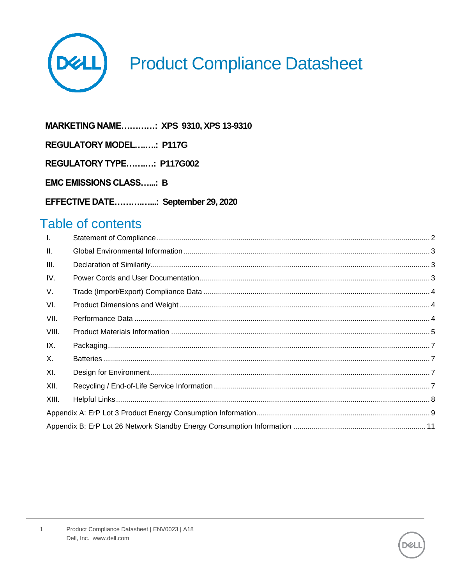

# **Product Compliance Datasheet**

MARKETING NAME............: XPS 9310, XPS 13-9310 **REGULATORY MODEL........: P117G** REGULATORY TYPE...........: P117G002

**EMC EMISSIONS CLASS......: B** 

EFFECTIVE DATE................: September 29, 2020

### Table of contents

| $\mathbf{L}$ |  |
|--------------|--|
| Ш.           |  |
| III.         |  |
| IV.          |  |
| V.           |  |
| VI.          |  |
| VII.         |  |
| VIII.        |  |
| IX.          |  |
| X.           |  |
| XI.          |  |
| XII.         |  |
| XIII.        |  |
|              |  |
|              |  |

 $\mathbf{1}$ 

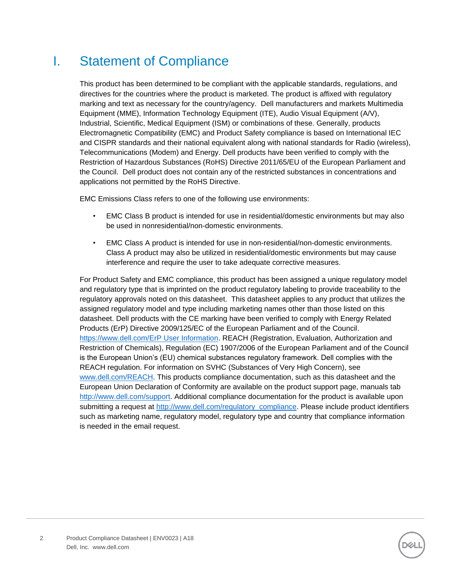## <span id="page-1-0"></span>I. Statement of Compliance

This product has been determined to be compliant with the applicable standards, regulations, and directives for the countries where the product is marketed. The product is affixed with regulatory marking and text as necessary for the country/agency. Dell manufacturers and markets Multimedia Equipment (MME), Information Technology Equipment (ITE), Audio Visual Equipment (A/V), Industrial, Scientific, Medical Equipment (ISM) or combinations of these. Generally, products Electromagnetic Compatibility (EMC) and Product Safety compliance is based on International IEC and CISPR standards and their national equivalent along with national standards for Radio (wireless), Telecommunications (Modem) and Energy. Dell products have been verified to comply with the Restriction of Hazardous Substances (RoHS) Directive 2011/65/EU of the European Parliament and the Council. Dell product does not contain any of the restricted substances in concentrations and applications not permitted by the RoHS Directive.

EMC Emissions Class refers to one of the following use environments:

- EMC Class B product is intended for use in residential/domestic environments but may also be used in nonresidential/non-domestic environments.
- EMC Class A product is intended for use in non-residential/non-domestic environments. Class A product may also be utilized in residential/domestic environments but may cause interference and require the user to take adequate corrective measures.

For Product Safety and EMC compliance, this product has been assigned a unique regulatory model and regulatory type that is imprinted on the product regulatory labeling to provide traceability to the regulatory approvals noted on this datasheet. This datasheet applies to any product that utilizes the assigned regulatory model and type including marketing names other than those listed on this datasheet. Dell products with the CE marking have been verified to comply with Energy Related Products (ErP) Directive 2009/125/EC of the European Parliament and of the Council. [https://www.dell.com/ErP User Information.](https://i.dell.com/sites/doccontent/shared-content/solutions/en/Documents/ErP-Pub-Info-2017-02-23.pdf) REACH (Registration, Evaluation, Authorization and Restriction of Chemicals), Regulation (EC) 1907/2006 of the European Parliament and of the Council is the European Union's (EU) chemical substances regulatory framework. Dell complies with the REACH regulation. For information on SVHC (Substances of Very High Concern), see [www.dell.com/REACH.](http://www.dell.com/REACH) This products compliance documentation, such as this datasheet and the European Union Declaration of Conformity are available on the product support page, manuals tab [http://www.dell.com/support.](http://www.dell.com/support) Additional compliance documentation for the product is available upon submitting a request at [http://www.dell.com/regulatory\\_compliance.](http://www.dell.com/regulatory_compliance) Please include product identifiers such as marketing name, regulatory model, regulatory type and country that compliance information is needed in the email request.

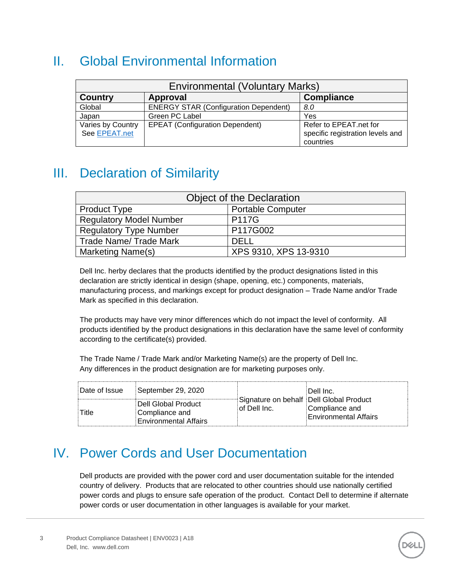## <span id="page-2-0"></span>II. Global Environmental Information

| <b>Environmental (Voluntary Marks)</b> |                                              |                                                                         |  |  |  |  |
|----------------------------------------|----------------------------------------------|-------------------------------------------------------------------------|--|--|--|--|
| <b>Country</b>                         | Approval                                     | <b>Compliance</b>                                                       |  |  |  |  |
| Global                                 | <b>ENERGY STAR (Configuration Dependent)</b> | 8.0                                                                     |  |  |  |  |
| Japan                                  | Green PC Label                               | Yes                                                                     |  |  |  |  |
| Varies by Country<br>See EPEAT.net     | <b>EPEAT (Configuration Dependent)</b>       | Refer to EPEAT.net for<br>specific registration levels and<br>countries |  |  |  |  |

### <span id="page-2-1"></span>III. Declaration of Similarity

| <b>Object of the Declaration</b>               |                          |  |  |  |
|------------------------------------------------|--------------------------|--|--|--|
| <b>Product Type</b>                            | <b>Portable Computer</b> |  |  |  |
| <b>P117G</b><br><b>Regulatory Model Number</b> |                          |  |  |  |
| <b>Regulatory Type Number</b>                  | P117G002                 |  |  |  |
| <b>Trade Name/ Trade Mark</b>                  | DELL.                    |  |  |  |
| Marketing Name(s)                              | XPS 9310, XPS 13-9310    |  |  |  |

Dell Inc. herby declares that the products identified by the product designations listed in this declaration are strictly identical in design (shape, opening, etc.) components, materials, manufacturing process, and markings except for product designation – Trade Name and/or Trade Mark as specified in this declaration.

The products may have very minor differences which do not impact the level of conformity. All products identified by the product designations in this declaration have the same level of conformity according to the certificate(s) provided.

The Trade Name / Trade Mark and/or Marketing Name(s) are the property of Dell Inc. Any differences in the product designation are for marketing purposes only.

| Date of Issue | September 29, 2020                                                    |                                                           | ⊹Dell Inc.                                     |
|---------------|-----------------------------------------------------------------------|-----------------------------------------------------------|------------------------------------------------|
| Title         | Dell Global Product<br>Compliance and<br><b>Environmental Affairs</b> | Signature on behalf   Dell Global Product<br>of Dell Inc. | Compliance and<br><b>Environmental Affairs</b> |

### <span id="page-2-2"></span>IV. Power Cords and User Documentation

Dell products are provided with the power cord and user documentation suitable for the intended country of delivery. Products that are relocated to other countries should use nationally certified power cords and plugs to ensure safe operation of the product. Contact Dell to determine if alternate power cords or user documentation in other languages is available for your market.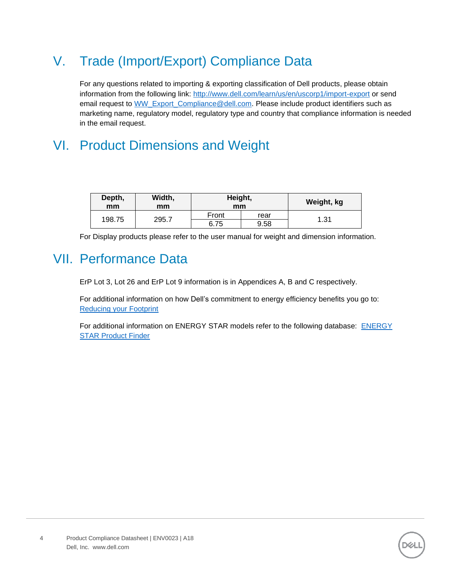## <span id="page-3-0"></span>V. Trade (Import/Export) Compliance Data

For any questions related to importing & exporting classification of Dell products, please obtain information from the following link:<http://www.dell.com/learn/us/en/uscorp1/import-export> or send email request to [WW\\_Export\\_Compliance@dell.com.](mailto:WW_Export_Compliance@dell.com) Please include product identifiers such as marketing name, regulatory model, regulatory type and country that compliance information is needed in the email request.

## <span id="page-3-1"></span>VI. Product Dimensions and Weight

| Depth,<br>mm | Width,<br>mm | Height,<br>mm |      | Weight, kg |
|--------------|--------------|---------------|------|------------|
|              |              | Front         | rear |            |
| 198.75       | 295.7        | 6.75          | 9.58 | 1.31       |

For Display products please refer to the user manual for weight and dimension information.

### <span id="page-3-2"></span>VII. Performance Data

ErP Lot 3, Lot 26 and ErP Lot 9 information is in Appendices A, B and C respectively.

For additional information on how Dell's commitment to energy efficiency benefits you go to: [Reducing your Footprint](https://www.dell.com/learn/us/en/uscorp1/dell-environment-energy-efficiency?s=corp) 

For additional information on ENERGY STAR models refer to the following database: [ENERGY](https://www.energystar.gov/productfinder/)  [STAR Product Finder](https://www.energystar.gov/productfinder/)

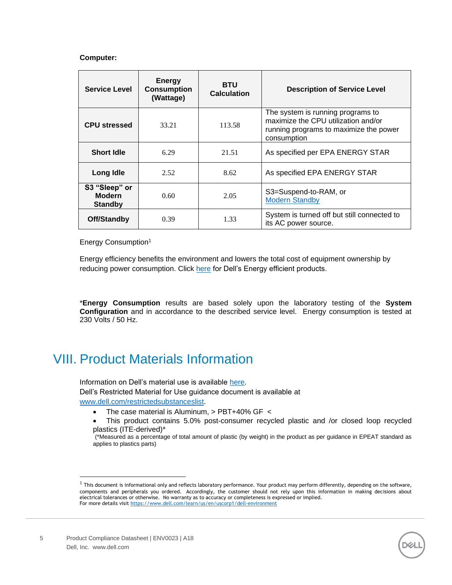#### **Computer:**

| <b>Service Level</b>                             | <b>Energy</b><br><b>Consumption</b><br>(Wattage) | <b>BTU</b><br><b>Calculation</b> | <b>Description of Service Level</b>                                                                                               |  |  |
|--------------------------------------------------|--------------------------------------------------|----------------------------------|-----------------------------------------------------------------------------------------------------------------------------------|--|--|
| <b>CPU stressed</b>                              | 33.21                                            | 113.58                           | The system is running programs to<br>maximize the CPU utilization and/or<br>running programs to maximize the power<br>consumption |  |  |
| <b>Short Idle</b><br>6.29<br>21.51               |                                                  |                                  | As specified per EPA ENERGY STAR                                                                                                  |  |  |
| Long Idle                                        | 2.52                                             | 8.62                             | As specified EPA ENERGY STAR                                                                                                      |  |  |
| S3 "Sleep" or<br><b>Modern</b><br><b>Standby</b> | 0.60                                             | 2.05                             | S3=Suspend-to-RAM, or<br><b>Modern Standby</b>                                                                                    |  |  |
| Off/Standby                                      | 0.39                                             | 1.33                             | System is turned off but still connected to<br>its AC power source.                                                               |  |  |

Energy Consumption<sup>1</sup>

Energy efficiency benefits the environment and lowers the total cost of equipment ownership by reducing power consumption. Click [here](https://corporate.delltechnologies.com/en-us/social-impact/advancing-sustainability/sustainable-products-and-services/energy-efficiency.htm) for Dell's Energy efficient products.

\***Energy Consumption** results are based solely upon the laboratory testing of the **System Configuration** and in accordance to the described service level. Energy consumption is tested at 230 Volts / 50 Hz.

### <span id="page-4-0"></span>VIII. Product Materials Information

Information on Dell's material use is available [here.](https://www.dell.com/learn/us/en/uscorp1/corp-comm/earth-greener-products-materials?c=us&l=en&s=corp) Dell's Restricted Material for Use guidance document is available at [www.dell.com/restrictedsubstanceslist.](http://www.dell.com/restrictedsubstanceslist)

- The case material is Aluminum, > PBT+40% GF <
- This product contains 5.0% post-consumer recycled plastic and /or closed loop recycled plastics (ITE-derived)\*



<sup>(\*</sup>Measured as a percentage of total amount of plastic (by weight) in the product as per guidance in EPEAT standard as applies to plastics parts)

 $^{\rm 1}$  This document is informational only and reflects laboratory performance. Your product may perform differently, depending on the software, components and peripherals you ordered. Accordingly, the customer should not rely upon this information in making decisions about electrical tolerances or otherwise. No warranty as to accuracy or completeness is expressed or implied. For more details visit <https://www.dell.com/learn/us/en/uscorp1/dell-environment>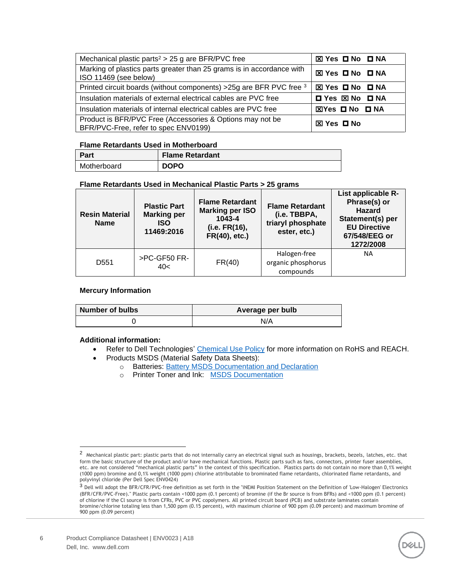| Mechanical plastic parts <sup><math>2</math></sup> > 25 g are BFR/PVC free                        | ⊠ Yes ロ No ロ NA        |
|---------------------------------------------------------------------------------------------------|------------------------|
| Marking of plastics parts greater than 25 grams is in accordance with<br>ISO 11469 (see below)    | <b>⊠ Yes ロ No ロ NA</b> |
| Printed circuit boards (without components) > 25g are BFR PVC free 3                              | ⊠ Yes <b>O</b> No O NA |
| Insulation materials of external electrical cables are PVC free                                   | 口 Yes 図 No 口 NA        |
| Insulation materials of internal electrical cables are PVC free                                   | ⊠Yes ロ No ロ NA         |
| Product is BFR/PVC Free (Accessories & Options may not be<br>BFR/PVC-Free, refer to spec ENV0199) | <b>⊠ Yes ロ No</b>      |

#### **Flame Retardants Used in Motherboard**

| Part        | <b>Flame Retardant</b> |
|-------------|------------------------|
| Motherboard | <b>DOPO</b>            |

#### **Flame Retardants Used in Mechanical Plastic Parts > 25 grams**

| <b>Resin Material</b><br><b>Name</b>    | <b>Plastic Part</b><br><b>Marking per</b><br><b>ISO</b><br>11469:2016 | <b>Flame Retardant</b><br><b>Marking per ISO</b><br>1043-4<br>(i.e. FR(16),<br>FR(40), etc.) | <b>Flame Retardant</b><br>(i.e. TBBPA,<br>triaryl phosphate<br>ester, etc.) | List applicable R-<br>Phrase(s) or<br><b>Hazard</b><br>Statement(s) per<br><b>EU Directive</b><br>67/548/EEG or<br>1272/2008 |
|-----------------------------------------|-----------------------------------------------------------------------|----------------------------------------------------------------------------------------------|-----------------------------------------------------------------------------|------------------------------------------------------------------------------------------------------------------------------|
| >PC-GF50 FR-<br>D <sub>551</sub><br>40< |                                                                       | FR(40)                                                                                       | Halogen-free<br>organic phosphorus<br>compounds                             | <b>NA</b>                                                                                                                    |

#### **Mercury Information**

| Number of bulbs | Average per bulb |
|-----------------|------------------|
|                 | N/A              |

#### **Additional information:**

- Refer to Dell Technologies' [Chemical Use Policy](http://i.dell.com/sites/doccontent/corporate/environment/en/Documents/chemical-use-policy.pdf) for more information on RoHS and REACH.
- Products MSDS (Material Safety Data Sheets):
	- o Batteries: [Battery MSDS Documentation and Declaration](http://www.dell.com/learn/us/en/uscorp1/product-info-msds-batteries)
	- o Printer Toner and Ink: [MSDS Documentation](http://www.dell.com/learn/us/en/uscorp1/product-info-msds-printer-ink-toner)



 $^2\,$  Mechanical plastic part: plastic parts that do not internally carry an electrical signal such as housings, brackets, bezels, latches, etc. that form the basic structure of the product and/or have mechanical functions. Plastic parts such as fans, connectors, printer fuser assemblies, etc. are not considered "mechanical plastic parts" in the context of this specification. Plastics parts do not contain no more than 0,1% weight (1000 ppm) bromine and 0,1% weight (1000 ppm) chlorine attributable to brominated flame retardants, chlorinated flame retardants, and polyvinyl chloride (Per Dell Spec ENV0424)

<sup>.&</sup>lt;br><sup>3</sup> Dell will adopt the BFR/CFR/PVC-free definition as set forth in the "iNEMI Position Statement on the Definition of 'Low-Halogen' Electronics (BFR/CFR/PVC-Free)." Plastic parts contain <1000 ppm (0.1 percent) of bromine (if the Br source is from BFRs) and <1000 ppm (0.1 percent) of chlorine if the Cl source is from CFRs, PVC or PVC copolymers. All printed circuit board (PCB) and substrate laminates contain bromine/chlorine totaling less than 1,500 ppm (0.15 percent), with maximum chlorine of 900 ppm (0.09 percent) and maximum bromine of 900 ppm (0.09 percent)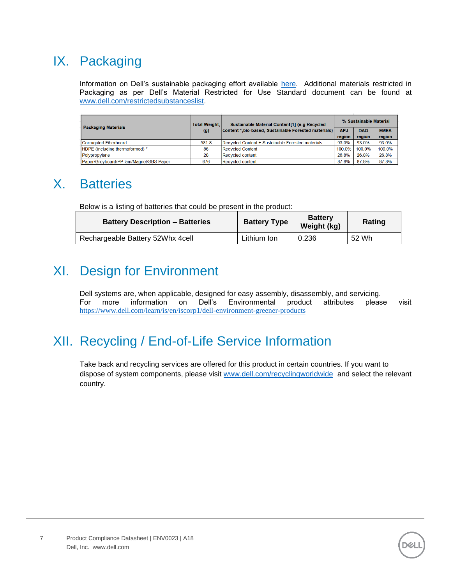## <span id="page-6-0"></span>IX. Packaging

Information on Dell's sustainable packaging effort available [here.](https://www.dell.com/learn/is/en/iscorp1/dell-environment-packaging-and-shipping) Additional materials restricted in Packaging as per Dell's Material Restricted for Use Standard document can be found at [www.dell.com/restrictedsubstanceslist.](http://www.dell.com/restrictedsubstanceslist)

| <b>Packaging Materials</b>              | <b>Total Weight.</b> | Sustainable Material Content[1] (e.g Recycled<br>content *, bio-based, Sustainable Forested materials) |        | % Sustainable Material |             |  |
|-----------------------------------------|----------------------|--------------------------------------------------------------------------------------------------------|--------|------------------------|-------------|--|
|                                         | (g)                  |                                                                                                        |        | <b>DAO</b>             | <b>EMEA</b> |  |
|                                         |                      |                                                                                                        | region | region                 | region      |  |
| <b>Corrugated Fiberboard</b>            | 581.8                | Recycled Content + Sustainable Forested materials                                                      | 93.0%  | 93.0%                  | 93.0%       |  |
| <b>HDPE</b> (including thermoformed) *  | 86                   | <b>Recycled Content</b>                                                                                | 100.0% | 100.0%                 | 100.0%      |  |
| Polypropylene                           | 28                   | Recycled content                                                                                       | 26.8%  | 26.8%                  | 26.8%       |  |
| Paper/Greyboard/PP lam/Magnet/SBS Paper | 676                  | Recycled content                                                                                       | 87.8%  | 87.8%                  | 87.8%       |  |

## <span id="page-6-1"></span>X. Batteries

Below is a listing of batteries that could be present in the product:

| <b>Battery Description - Batteries</b> | <b>Battery Type</b> | <b>Battery</b><br>Weight (kg) | Rating |
|----------------------------------------|---------------------|-------------------------------|--------|
| Rechargeable Battery 52Whx 4cell       | Lithium Ion         | 0.236                         | 52 Wh  |

## <span id="page-6-2"></span>XI. Design for Environment

Dell systems are, when applicable, designed for easy assembly, disassembly, and servicing. For more information on Dell's Environmental product attributes please visit <https://www.dell.com/learn/is/en/iscorp1/dell-environment-greener-products>

## <span id="page-6-3"></span>XII. Recycling / End-of-Life Service Information

Take back and recycling services are offered for this product in certain countries. If you want to dispose of system components, please visit [www.dell.com/recyclingworldwide](http://www.dell.com/recyclingworldwide) and select the relevant country.

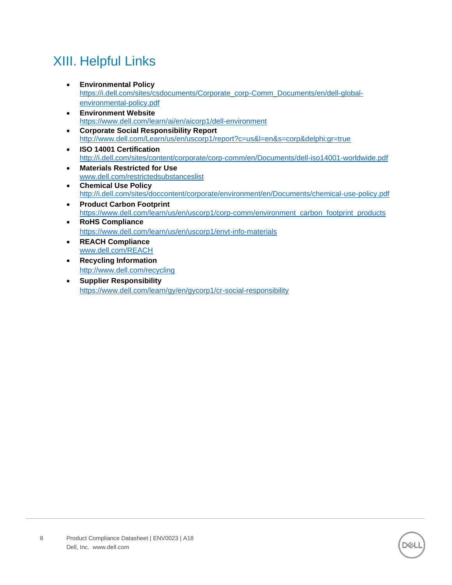## <span id="page-7-0"></span>XIII. Helpful Links

- **Environmental Policy** [https://i.dell.com/sites/csdocuments/Corporate\\_corp-Comm\\_Documents/en/dell-global](https://i.dell.com/sites/csdocuments/Corporate_corp-Comm_Documents/en/dell-global-environmental-policy.pdf)[environmental-policy.pdf](https://i.dell.com/sites/csdocuments/Corporate_corp-Comm_Documents/en/dell-global-environmental-policy.pdf)
- **Environment Website** <https://www.dell.com/learn/ai/en/aicorp1/dell-environment>
- **Corporate Social Responsibility Report** <http://www.dell.com/Learn/us/en/uscorp1/report?c=us&l=en&s=corp&delphi:gr=true>
- **ISO 14001 Certification** <http://i.dell.com/sites/content/corporate/corp-comm/en/Documents/dell-iso14001-worldwide.pdf>
- **Materials Restricted for Use** [www.dell.com/restrictedsubstanceslist](http://www.dell.com/restrictedsubstanceslist)
- **Chemical Use Policy** <http://i.dell.com/sites/doccontent/corporate/environment/en/Documents/chemical-use-policy.pdf>
- **Product Carbon Footprint** [https://www.dell.com/learn/us/en/uscorp1/corp-comm/environment\\_carbon\\_footprint\\_products](https://www.dell.com/learn/us/en/uscorp1/corp-comm/environment_carbon_footprint_products)
- **RoHS Compliance** <https://www.dell.com/learn/us/en/uscorp1/envt-info-materials>
- **REACH Compliance** [www.dell.com/REACH](http://www.dell.com/REACH)
- **Recycling Information** <http://www.dell.com/recycling>
- **Supplier Responsibility** <https://www.dell.com/learn/gy/en/gycorp1/cr-social-responsibility>

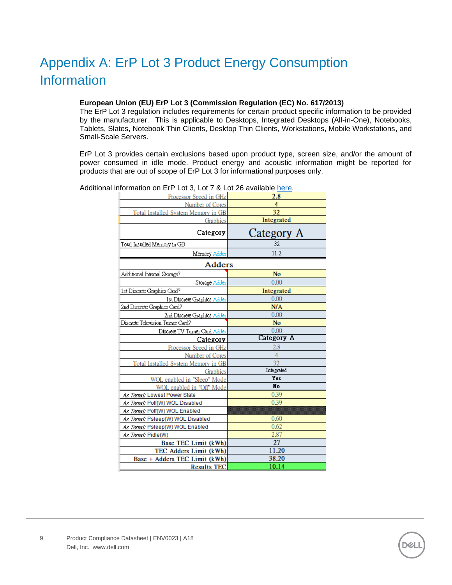## <span id="page-8-0"></span>Appendix A: ErP Lot 3 Product Energy Consumption **Information**

#### **European Union (EU) ErP Lot 3 (Commission Regulation (EC) No. 617/2013)**

The ErP Lot 3 regulation includes requirements for certain product specific information to be provided by the manufacturer. This is applicable to Desktops, Integrated Desktops (All-in-One), Notebooks, Tablets, Slates, Notebook Thin Clients, Desktop Thin Clients, Workstations, Mobile Workstations, and Small-Scale Servers.

ErP Lot 3 provides certain exclusions based upon product type, screen size, and/or the amount of power consumed in idle mode. Product energy and acoustic information might be reported for products that are out of scope of ErP Lot 3 for informational purposes only.

| Processor Speed in GHz              | 2.8             |  |  |  |
|-------------------------------------|-----------------|--|--|--|
| Number of Cores                     | 4               |  |  |  |
| Total Installed System Memory in GB | 32              |  |  |  |
| Graphics                            | Integrated      |  |  |  |
| Category                            | Category A      |  |  |  |
| Total Installed Memory in GB        | 32              |  |  |  |
| Memory Adder                        | 11.2            |  |  |  |
| <b>Adders</b>                       |                 |  |  |  |
| Additional Internal Storage?        | No              |  |  |  |
| Storage Adder                       | 0.00            |  |  |  |
| 1st Discrete Graphics Card?         | Integrated      |  |  |  |
| 1st Discrete Graphics Adder         | 0.00            |  |  |  |
| 2nd Discrete Graphics Card?         | N/A             |  |  |  |
| <u> 2nd Discrete Graphics Adder</u> | 0.00            |  |  |  |
| Discrete Television Turner Card?    | <b>No</b>       |  |  |  |
| Discrete TV Turner Card Adder       | 0.00            |  |  |  |
| Category                            | Category A      |  |  |  |
| Processor Speed in GHz              | 2.8             |  |  |  |
| Number of Cores                     | 4               |  |  |  |
| Total Installed System Memory in GB | $\overline{32}$ |  |  |  |
| Graphics                            | Integrated      |  |  |  |
| WOL enabled in "Sleep" Mode         | <b>Yes</b>      |  |  |  |
| WOL enabled in "Off" Mode           | No              |  |  |  |
| As Tested: Lowest Power State       | 0.39            |  |  |  |
| As Tested: Poff(W) WOL Disabled     | 0.39            |  |  |  |
| As Tested: Poff(W) WOL Enabled      |                 |  |  |  |
| As Tested: Psleep(W) WOL Disabled   | 0.60            |  |  |  |
| As Tested: Psleep(W) WOL Enabled    | 0.62            |  |  |  |
| As Tested: Pidle(W)                 | 2.87            |  |  |  |
| Base TEC Limit (kWh)                | 27              |  |  |  |
| TEC Adders Limit (kWh)              | 11.20           |  |  |  |
| Base + Adders TEC Limit (kWh)       | 38.20           |  |  |  |
| <b>Results TEC</b>                  | 10.14           |  |  |  |

Additional information on ErP Lot 3, Lot 7 & Lot 26 available [here.](https://www.dell.com/learn/us/en/uscorp1/envt-info-energy-regulation)

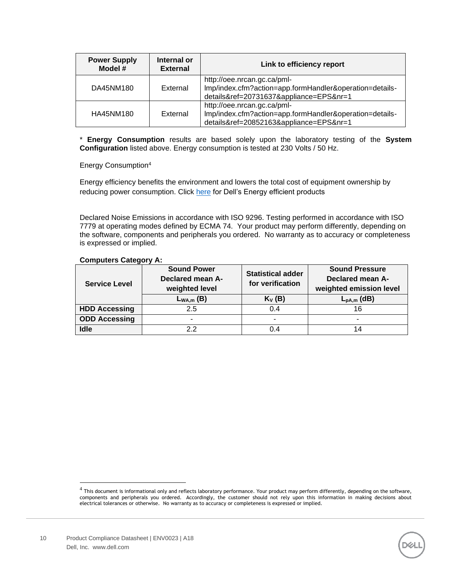| <b>Power Supply</b><br>Model # | Internal or<br><b>External</b> | Link to efficiency report                                                                                                         |
|--------------------------------|--------------------------------|-----------------------------------------------------------------------------------------------------------------------------------|
| DA45NM180                      | External                       | http://oee.nrcan.gc.ca/pml-<br>Imp/index.cfm?action=app.formHandler&operation=details-<br>details&ref=20731637&appliance=EPS&nr=1 |
| HA45NM180                      | External                       | http://oee.nrcan.gc.ca/pml-<br>Imp/index.cfm?action=app.formHandler&operation=details-<br>details&ref=20852163&appliance=EPS&nr=1 |

\* **Energy Consumption** results are based solely upon the laboratory testing of the **System Configuration** listed above. Energy consumption is tested at 230 Volts / 50 Hz.

Energy Consumption<sup>4</sup>

Energy efficiency benefits the environment and lowers the total cost of equipment ownership by reducing power consumption. Click [here](https://corporate.delltechnologies.com/en-us/social-impact/advancing-sustainability/sustainable-products-and-services/energy-efficiency.htm) for Dell's Energy efficient products

Declared Noise Emissions in accordance with ISO 9296. Testing performed in accordance with ISO 7779 at operating modes defined by ECMA 74. Your product may perform differently, depending on the software, components and peripherals you ordered. No warranty as to accuracy or completeness is expressed or implied.

| <b>Service Level</b> | <b>Sound Power</b><br>Declared mean A-<br>weighted level | <b>Statistical adder</b><br>for verification | <b>Sound Pressure</b><br>Declared mean A-<br>weighted emission level |
|----------------------|----------------------------------------------------------|----------------------------------------------|----------------------------------------------------------------------|
|                      | $L_{WA,m}$ (B)                                           | $K_V(B)$                                     | $L_{pA,m}$ (dB)                                                      |
| <b>HDD Accessing</b> | 2.5                                                      | 0.4                                          | 16                                                                   |
| <b>ODD Accessing</b> | -                                                        | $\overline{\phantom{0}}$                     |                                                                      |
| Idle                 | 22                                                       | 0.4                                          | 14                                                                   |

#### **Computers Category A:**



 $^4$  This document is informational only and reflects laboratory performance. Your product may perform differently, depending on the software, components and peripherals you ordered. Accordingly, the customer should not rely upon this information in making decisions about electrical tolerances or otherwise. No warranty as to accuracy or completeness is expressed or implied.